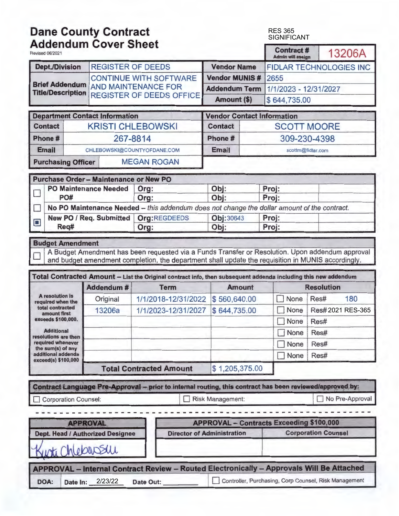# **Dane County Contract**  RES 365 SIGNIFICANT **Addendum Cover Sheet Admin will assign** I 13206A Revised 06/2021 **Contract # Contract # Contract # Dept./0ivision** REGISTER OF DEEDS **Vendor Name** FIDLAR TECHNOLOGIES INC CONTINUE WITH SOFTWARE **Vendor MUNIS** # 2655 **Brief Addendum** AND MAINTENANCE FOR **Addendum Term**  $\frac{1}{1/2023 - 12/31/2027}$ <br>**Title/Description** REGISTER OF DEEDS OFFICE **Amount (\$)** \$ 644,735.00 **Department Contact Information Vendor Contact Information Contact | KRISTI CHLEBOWSKI | Contact | SCOTT MOORE Phone#** 267-8814 **Phone#** 309-230-4398 **Email** CHLEBOWSKI@COUNTYOFDANE.COM **Email Email** scottm@fidlar.com **Purchasing Officer | MEGAN ROGAN Purchase Order** - **Maintenance or New PO**  PO Maintenance Needed **Org: Department Obj:** Proj:<br>
PO# Org: Department Obj: Proj: PO# Org: Obj: Proj: **No PO Maintenance Needed – this addendum does not change the dollar amount of the contract.**<br>New PO / Req. Submitted | Org: REGDEEDS | Obj: 30643 | Proj: <sup>~</sup>**New PO** / **Req. Submitted Org: REGDEEDS** Obj: <sup>30643</sup>**Proj: Req# Org: Obj: Proj: Budget Amendment**  A Budget Amendment has been requested via a Funds Transfer or Resolution. Upon addendum approval and budget amendment completion, the department shall update the requisition in MUNIS accordingly. Total Contracted Amount - List the Original contract info, then subsequent addenda including this new addendum **Addendum# Term Amount Resolution A resolution is**<br> **A resolution is**<br> **A resolution is**<br> **Original** 1/1/2018-12/31/2022 \$560,640.00 D None Res# 180<br> **A Resolution of a resolution of the antique of the antique and a resolution of the produce and a resolut total contracted 13206a** 1/1/2023-12/31/2027 \$ 644,735.00 D None 2021 RES-365 exceeds \$100,000. **D** None Res# **Additional D** None Res# **required whenever contract the sum(s)** of any **and all contract the sum(s)** of any **and all contract the sum(s)** of any **and all contract the sum(s)** of any **and all contract the sum(s)** of any **and all contract the sum** additional addenda **D** None Res# **exceed(s) \$100,000 Total Contracted Amount** \$ 1,205,375.00 **Contract Language Pre-Approval** - **prior to internal routing, this contract has been reviewed/approved by:**  Corporation Counsel: I I Risk Management: I I No Pre-Approval - - - - - - - - - - - - - - - - - - - - - - - - - - - - - - - - - - - - - - - - - - - - - - - - - - - - - - - **APPROVAL APPROVAL-Contracts Exceeding \$100,000 Dept. Head / Authorized Designee Director of Administration Corporation Counsel** ti Chlobarsau APPROVAL - Internal Contract Review - Routed Electronically - Approvals Will Be Attached DOA: Date In: 2/23/22 Date Out: Dontroller, Purchasing, Corp Counsel, Risk Management 2/23/22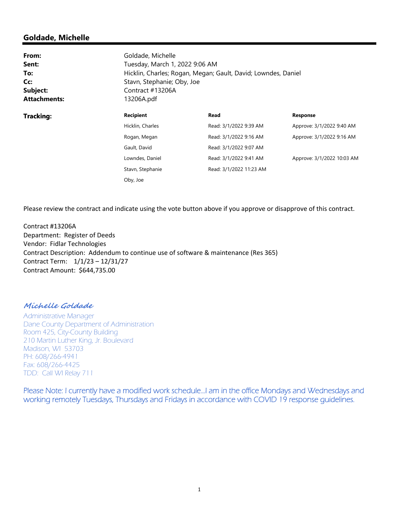# **Goldade, Michelle**

| From:<br>Sent:<br>To:<br>Cc:<br>Subject:<br><b>Attachments:</b> | Goldade, Michelle<br>Contract #13206A<br>13206A.pdf | Tuesday, March 1, 2022 9:06 AM<br>Hicklin, Charles; Rogan, Megan; Gault, David; Lowndes, Daniel<br>Stavn, Stephanie; Oby, Joe |                            |  |
|-----------------------------------------------------------------|-----------------------------------------------------|-------------------------------------------------------------------------------------------------------------------------------|----------------------------|--|
| <b>Tracking:</b>                                                | <b>Recipient</b>                                    | Read                                                                                                                          | <b>Response</b>            |  |
|                                                                 | Hicklin, Charles                                    | Read: 3/1/2022 9:39 AM                                                                                                        | Approve: 3/1/2022 9:40 AM  |  |
|                                                                 | Rogan, Megan                                        | Read: 3/1/2022 9:16 AM                                                                                                        | Approve: 3/1/2022 9:16 AM  |  |
|                                                                 | Gault, David                                        | Read: 3/1/2022 9:07 AM                                                                                                        |                            |  |
|                                                                 | Lowndes, Daniel                                     | Read: 3/1/2022 9:41 AM                                                                                                        | Approve: 3/1/2022 10:03 AM |  |
|                                                                 | Stavn, Stephanie                                    | Read: 3/1/2022 11:23 AM                                                                                                       |                            |  |
|                                                                 | Oby, Joe                                            |                                                                                                                               |                            |  |

Please review the contract and indicate using the vote button above if you approve or disapprove of this contract.

Contract #13206A Department: Register of Deeds Vendor: Fidlar Technologies Contract Description: Addendum to continue use of software & maintenance (Res 365) Contract Term: 1/1/23 – 12/31/27 Contract Amount: \$644,735.00

## **Michelle Goldade**

Administrative Manager Dane County Department of Administration Room 425, City-County Building 210 Martin Luther King, Jr. Boulevard Madison, WI 53703 PH: 608/266-4941 Fax: 608/266-4425 TDD: Call WI Relay 711

Please Note: I currently have a modified work schedule…I am in the office Mondays and Wednesdays and working remotely Tuesdays, Thursdays and Fridays in accordance with COVID 19 response guidelines.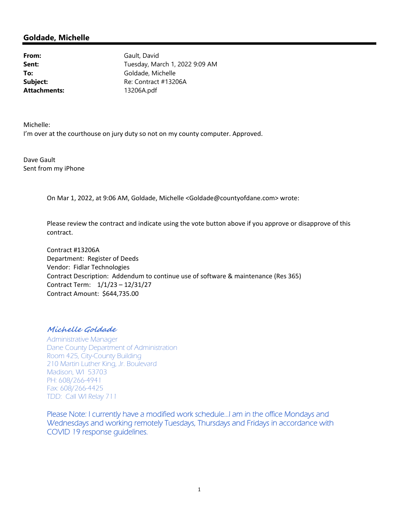## **Goldade, Michelle**

**Attachments:** 13206A.pdf

From: Gault, David **Sent:** Tuesday, March 1, 2022 9:09 AM To: Goldade, Michelle **Subject:** Re: Contract #13206A

Michelle:

I'm over at the courthouse on jury duty so not on my county computer. Approved.

Dave Gault Sent from my iPhone

On Mar 1, 2022, at 9:06 AM, Goldade, Michelle <Goldade@countyofdane.com> wrote:

Please review the contract and indicate using the vote button above if you approve or disapprove of this contract.

Contract #13206A Department: Register of Deeds Vendor: Fidlar Technologies Contract Description: Addendum to continue use of software & maintenance (Res 365) Contract Term: 1/1/23 – 12/31/27 Contract Amount: \$644,735.00

## **Michelle Goldade**

Administrative Manager Dane County Department of Administration Room 425, City-County Building 210 Martin Luther King, Jr. Boulevard Madison, WI 53703 PH: 608/266-4941 Fax: 608/266-4425 TDD: Call WI Relay 711

Please Note: I currently have a modified work schedule…I am in the office Mondays and Wednesdays and working remotely Tuesdays, Thursdays and Fridays in accordance with COVID 19 response guidelines.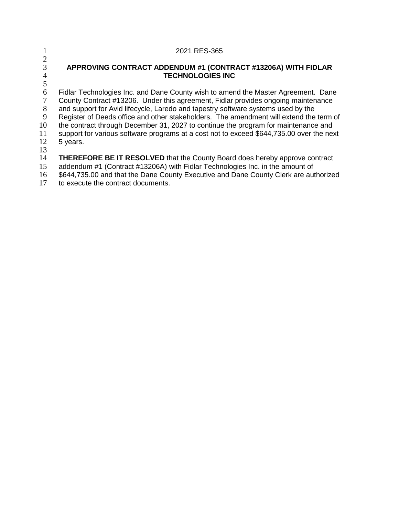|    | 2021 RES-365                                                                             |
|----|------------------------------------------------------------------------------------------|
|    | APPROVING CONTRACT ADDENDUM #1 (CONTRACT #13206A) WITH FIDLAR                            |
|    | <b>TECHNOLOGIES INC</b>                                                                  |
| 5  |                                                                                          |
| 6  | Fidlar Technologies Inc. and Dane County wish to amend the Master Agreement. Dane        |
|    | County Contract #13206. Under this agreement, Fidlar provides ongoing maintenance        |
| 8  | and support for Avid lifecycle, Laredo and tapestry software systems used by the         |
| 9  | Register of Deeds office and other stakeholders. The amendment will extend the term of   |
| 10 | the contract through December 31, 2027 to continue the program for maintenance and       |
| 11 | support for various software programs at a cost not to exceed \$644,735.00 over the next |
| 12 | 5 years.                                                                                 |
| 13 |                                                                                          |
| 14 | <b>THEREFORE BE IT RESOLVED</b> that the County Board does hereby approve contract       |
| 15 | addendum #1 (Contract #13206A) with Fidlar Technologies Inc. in the amount of            |
| 16 | \$644,735.00 and that the Dane County Executive and Dane County Clerk are authorized     |
|    |                                                                                          |

to execute the contract documents.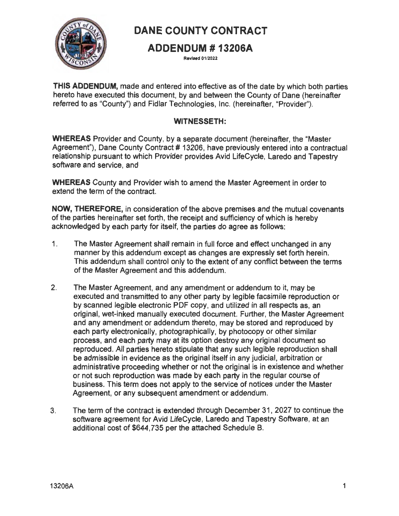

# **DANE COUNTY CONTRACT**

# **ADDENDUM # 13206A**

**Revised 01/2022** 

**THIS ADDENDUM,** made and entered into effective as of the date by which both parties hereto have executed this document, by and between the County of Dane (hereinafter referred to as "County") and Fidlar Technologies, Inc. (hereinafter, "Provider'').

# **WITNESSETH:**

**WHEREAS** Provider and County, by a separate document (hereinafter, the "Master Agreement"), Dane County Contract # 13206, have previously entered into a contractual relationship pursuant to which Provider provides Avid LifeCycle, Laredo and Tapestry software and service, and

**WHEREAS** County and Provider wish to amend the Master Agreement in order to extend the term of the contract.

**NOW, THEREFORE,** in consideration of the above premises and the mutual covenants of the parties hereinafter set forth, the receipt and sufficiency of which is hereby acknowledged by each party for itself, the parties do agree as follows:

- 1. The Master Agreement shall remain in full force and effect unchanged in any manner by this addendum except as changes are expressly set forth herein. This addendum shall control only to the extent of any conflict between the terms of the Master Agreement and this addendum.
- 2. The Master Agreement, and any amendment or addendum to it, may be executed and transmitted to any other party by legible facsimile reproduction or by scanned legible electronic PDF copy, and utilized in all respects as, an original, wet-inked manually executed document. Further, the Master Agreement and any amendment or addendum thereto, may be stored and reproduced by each party electronically, photographically, by photocopy or other similar process, and each party may at its option destroy any original document so reproduced. All parties hereto stipulate that any such legible reproduction shall be admissible in evidence as the original itself in any judicial, arbitration or administrative proceeding whether or not the original is in existence and whether or not such reproduction was made by each party in the regular course of business. This term does not apply to the service of notices under the Master Agreement, or any subsequent amendment or addendum.
- 3. The term of the contract is extended through December 31 , 2027 to continue the software agreement for Avid LifeCycle, Laredo and Tapestry Software, at an additional cost of \$644,735 per the attached Schedule 8.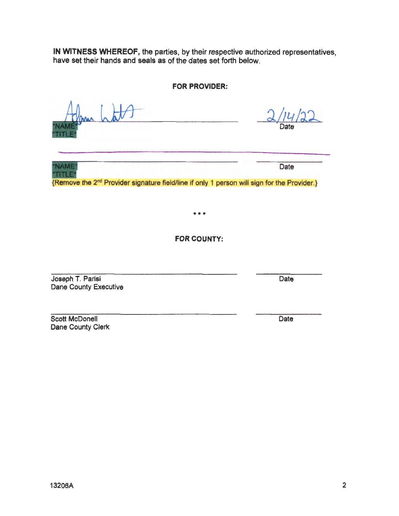**IN WITNESS WHEREOF,** the parties, by their respective authorized representatives, have set their hands and seals as of the dates set forth below.

**FOR PROVIDER:** 

Date

Date

**FOR COUNTY:** 

\*\*\*

{Remove the 2nd Provider signature field/hne if only 1 person will sign for the Provider.}

Joseph T. Parisi Dane County Executive

**NAME TITLE** 

Scott McDonell Dane County Clerk

2

Date

Date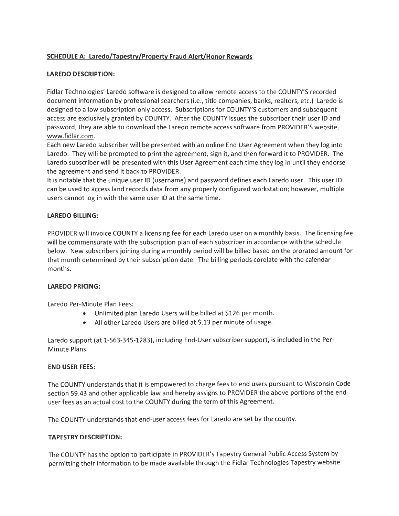### **SCHEDULE A: Laredo/Tapestry/Property Fraud Alert/Honor Rewards**

#### **LAREDO DESCRIPTION:**

Fidlar Technologies' Laredo software is designed to allow remote access to the COUNTY'S recorded document information by professional searchers (i.e., title companies, banks, realtors, etc.) Laredo is designed to allow subscription only access. Subscriptions for COUNTY'S customers and subsequent access are exclusively granted by COUNTY. After the COUNTY issues the subscriber their user ID and password, they are able to download the Laredo remote access software from PROVIDER'S website, www.fidlar.com.

Each new Laredo subscriber will be presented with an online End User Agreement when they log into Laredo. They will be prompted to print the agreement, sign it, and then forward it to PROVIDER. The Laredo subscriber will be presented with this User Agreement each time they log in until they endorse the agreement and send it back to PROVIDER.

It is notable that the unique user ID (username) and password defines each Laredo user. This user ID can be used to access land records data from any properly configured workstation; however, multiple users cannot log in with the same user ID at the same time.

#### **LAREDO BILLING:**

PROVIDER will invoice COUNTY a licensing fee for each Laredo user on a monthly basis. The licensing fee will be commensurate with the subscription plan of each subscriber in accordance with the schedule below. New subscribers joining during a monthly period will be billed based on the prorated amount for that month determined by their subscription date. The billing periods corelate with the calendar months.

 $\overline{a}$ 

#### **LAREDO PRICING:**

Laredo Per-Minute Plan Fees:

- Unlimited plan Laredo Users will be billed at \$126 per month.
- All other Laredo Users are billed at \$.13 per minute of usage.

Laredo support (at 1-563-345-1283), including End-User subscriber support, is included in the Per-Minute Plans.

#### **END USER FEES:**

The COUNTY understands that it is empowered to charge fees to end users pursuant to Wisconsin Code section 59.43 and other applicable law and hereby assigns to PROVIDER the above portions of the end user fees as an actual cost to the COUNTY during the term of this Agreement.

The COUNTY understands that end-user access fees for Laredo are set by the county.

#### **TAPESTRY DESCRIPTION:**

The COUNTY has the option to participate in PROVIDER's Tapestry General Public Access System by permitting their information to be made available through the Fidlar Technologies Tapestry website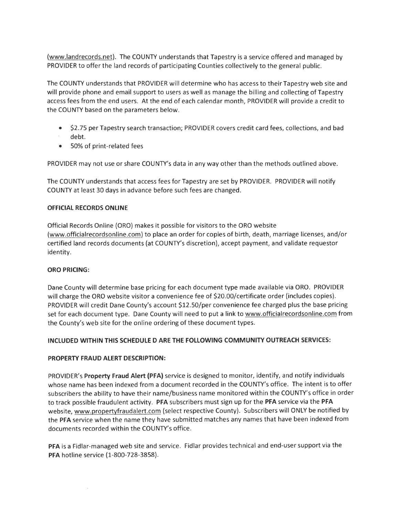(www.landrecords.net). The COUNTY understands that Tapestry is a service offered and managed by PROVIDER to offer the land records of participating Counties collectively to the general public.

The COUNTY understands that PROVIDER will determine who has access to their Tapestry web site and will provide phone and email support to users as well as manage the billing and collecting of Tapestry access fees from the end users. At the end of each calendar month, PROVIDER will provide a credit to the COUNTY based on the parameters below.

- \$2.75 per Tapestry search transaction; PROVIDER covers credit card fees, collections, and bad debt.
- 50% of print-related fees

PROVIDER may not use or share COUNTY's data in any way other than the methods outlined above.

The COUNTY understands that access fees for Tapestry are set by PROVIDER. PROVIDER will notify COUNTY at least 30 days in advance before such fees are changed .

#### **OFFICIAL RECORDS ONLINE**

Official Records Online (ORO) makes it possible for visitors to the ORO website (www.officialrecordsonline.com) to place an order for copies of birth, death, marriage licenses, and/or certified land records documents (at COUNTY's discretion), accept payment, and validate requestor identity.

#### **ORO PRICING:**

Dane County will determine base pricing for each document type made available via ORO. PROVIDER will charge the ORO website visitor a convenience fee of \$20.00/certificate order (includes copies). PROVIDER will credit Dane County's account \$12.50/per convenience fee charged plus the base pricing set for each document type. Dane County will need to put a link to www.officialrecordsonline.com from the County's web site for the online ordering of these document types.

#### **INCLUDED WITHIN THIS SCHEDULED ARE THE FOLLOWING COMMUNITY OUTREACH SERVICES:**

#### **PROPERTY FRAUD ALERT DESCRIPTION:**

PROVIDER's **Property Fraud Alert (PFA)** service is designed to monitor, identify, and notify individuals whose name has been indexed from a document recorded in the COUNTY's office. The intent is to offer subscribers the ability to have their name/business name monitored within the COUNTY's office in order to track possible fraudulent activity. **PFA** subscribers must sign up for the **PFA** service via the **PFA**  website, www.propertyfraudalert.com (select respective County). Subscribers will ONLY be notified by the **PFA** service when the name they have submitted matches any names that have been indexed from documents recorded within the COUNTY's office.

**PFA** is a Fidlar-managed web site and service. Fidlar provides technical and end-user support via the **PFA** hotline service (1-800-728-3858).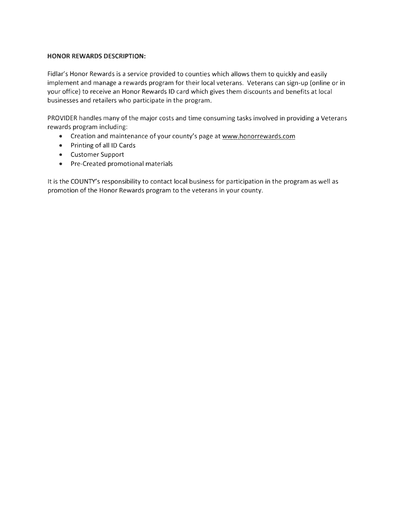#### **HONOR REWARDS DESCRIPTION:**

Fidlar's Honor Rewards is a service provided to counties which allows them to quickly and easily implement and manage a rewards program for their local veterans. Veterans can sign-up (online or in your office) to receive an Honor Rewards ID card which gives them discounts and benefits at local businesses and retailers who participate in the program.

PROVIDER handles many of the major costs and time consuming tasks involved in providing a Veterans rewards program including:

- Creation and maintenance of your county's page at www.honorrewards.com
- Printing of all ID Cards
- Customer Support
- Pre-Created promotional materials

It is the COUNTY's responsibility to contact local business for participation in the program as well as promotion of the Honor Rewards program to the veterans in your county.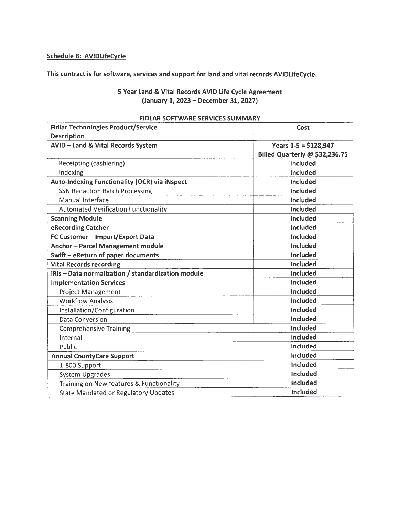## **Schedule B: AVIDlifeCycle**

**This contract is for software, services and support for land and vital records AVIDlifeCycle.** 

## **5 Year Land** & **Vital Records AVID life Cycle Agreement (January 1, 2023** - **December 31, 2027)**

| <b>Fidlar Technologies Product/Service</b>           | Cost                           |
|------------------------------------------------------|--------------------------------|
| <b>Description</b>                                   |                                |
| <b>AVID - Land &amp; Vital Records System</b>        | Years $1-5 = $128,947$         |
|                                                      | Billed Quarterly @ \$32,236.75 |
| Receipting (cashiering)                              | Included                       |
| Indexing                                             | Included                       |
| <b>Auto-Indexing Functionality (OCR) via iNspect</b> | Included                       |
| <b>SSN Redaction Batch Processing</b>                | <b>Included</b>                |
| <b>Manual Interface</b>                              | <b>Included</b>                |
| <b>Automated Verification Functionality</b>          | Included                       |
| <b>Scanning Module</b>                               | <b>Included</b>                |
| eRecording Catcher                                   | <b>Included</b>                |
| FC Customer - Import/Export Data                     | <b>Included</b>                |
| Anchor-Parcel Management module                      | <b>Included</b>                |
| Swift - eReturn of paper documents                   | <b>Included</b>                |
| <b>Vital Records recording</b>                       | Included                       |
| iRis - Data normalization / standardization module   | Included                       |
| <b>Implementation Services</b>                       | <b>Included</b>                |
| <b>Project Management</b>                            | <b>Included</b>                |
| <b>Workflow Analysis</b>                             | <b>Included</b>                |
| Installation/Configuration                           | Included                       |
| <b>Data Conversion</b>                               | <b>Included</b>                |
| <b>Comprehensive Training</b>                        | <b>Included</b>                |
| Internal                                             | Included                       |
| Public                                               | Included                       |
| <b>Annual CountyCare Support</b>                     | Included                       |
| 1-800 Support                                        | Included                       |
| <b>System Upgrades</b>                               | Included                       |
| Training on New features & Functionality             | <b>Included</b>                |
| <b>State Mandated or Regulatory Updates</b>          | Included                       |

#### **FIDLAR SOFTWARE SERVICES SUMMARY**